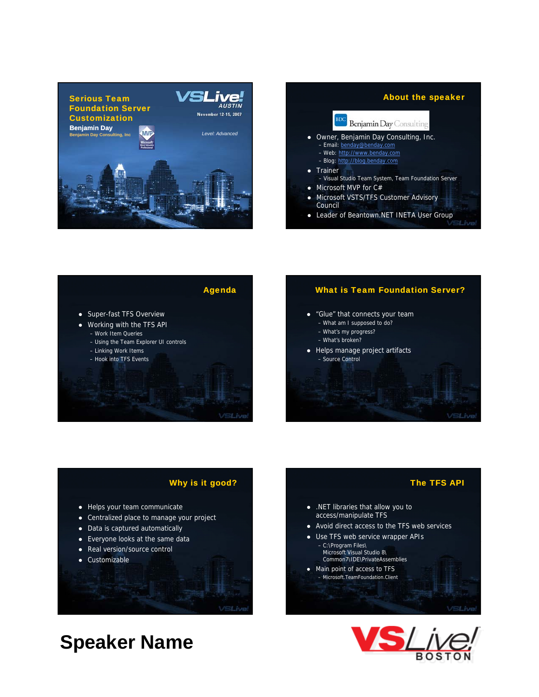





## What is Team Foundation Server?



- What am I supposed to do?
- What's my progress?
- What's broken?
- $\bullet$  Helps manage project artifacts – Source Control

## Why is it good?

- Helps your team communicate
- Centralized place to manage your project
- Data is captured automatically
- $\bullet$  Everyone looks at the same data
- Real version/source control

**Speaker Name**

• Customizable

• .NET libraries that allow you to access/manipulate TFS • Avoid direct access to the TFS web services

- 
- Use TFS web service wrapper APIs – C:\Program Files\ Microsoft Visual Studio 8\ Common7\IDE\PrivateAssemblies
- Main point of access to TFS – Microsoft.TeamFoundation.Client

The TFS API



VSLive

- 
- 
- 
- 
- 
- 
-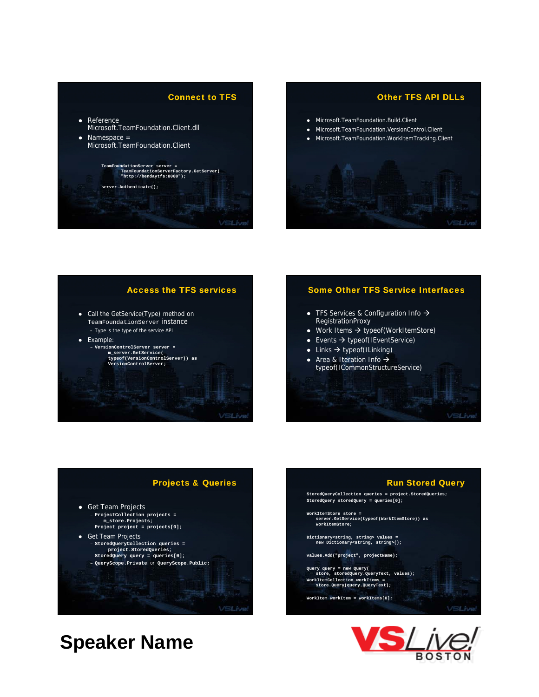



## Access the TFS services

- Call the GetService(Type) method on TeamFoundationServer instance – Type is the type of the service API
- Example: – **VersionControlServer server VersionControlServer =**
	- **m\_server.GetService( typeof(VersionControlServer)) as VersionControlServer;**

## Some Other TFS Service Interfaces

- TFS Services & Configuration Info  $\rightarrow$ RegistrationProxy
- $\bullet$  Work Items  $\rightarrow$  typeof(WorkItemStore)
- Events  $\rightarrow$  typeof(IEventService)
- $\overline{\bullet}$  Links  $\overline{\rightarrow}$  typeof(ILinking) • Area & Iteration Info  $\rightarrow$ typeof(ICommonStructureService)

## Projects & Queries

VSLive!



**StoredQueryCollection queries = project.StoredQueries; StoredQuery storedQuery = queries[0]; WorkItemStore store = server.GetService(typeof(WorkItemStore)) as WorkItemStore;**

Run Stored Query

**Dictionary<string, string> values = new Di ti < t i t i >() Dictionary<string, string>();**

**values.Add("project", projectName);**

**Query query = new Query( store, storedQuery.QueryText, values); WorkItemCollection workItems = store.Query(query.QueryText);**

**WorkItem workItem = workItems[0];**

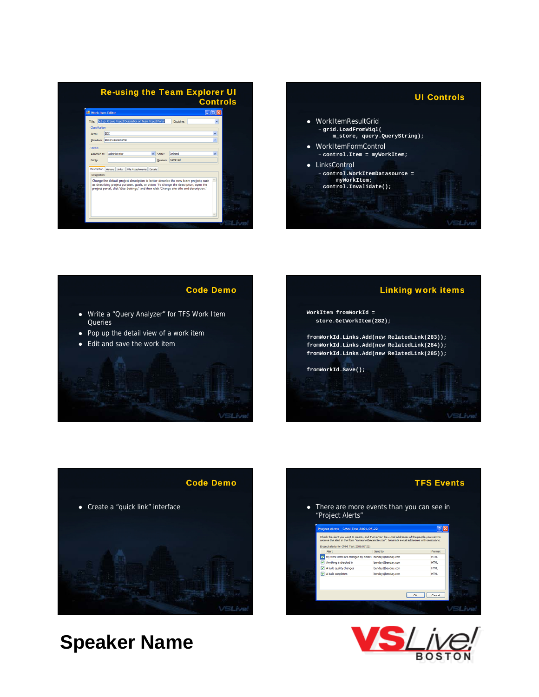| <b>Re-using the Team Explorer UI</b><br><b>Controls</b> |                                                           |                                                                                                                                                                                                                                                                            |                                        |
|---------------------------------------------------------|-----------------------------------------------------------|----------------------------------------------------------------------------------------------------------------------------------------------------------------------------------------------------------------------------------------------------------------------------|----------------------------------------|
| <b>Work Item Editor</b>                                 |                                                           |                                                                                                                                                                                                                                                                            | $\blacksquare$ $\blacksquare$ $\times$ |
| Title:                                                  | Set up: Create Project Description on Team Project Portal | Discipline:                                                                                                                                                                                                                                                                | v                                      |
| Classification                                          |                                                           |                                                                                                                                                                                                                                                                            |                                        |
| Area:                                                   | toc                                                       |                                                                                                                                                                                                                                                                            |                                        |
| Iteration:                                              | <b>BDC</b> Requirements                                   |                                                                                                                                                                                                                                                                            | Ü                                      |
| Status                                                  |                                                           |                                                                                                                                                                                                                                                                            |                                        |
| Assigned to:                                            | Administrator                                             | Deleted<br>State:                                                                                                                                                                                                                                                          |                                        |
| Rank:                                                   |                                                           | Removed<br>Reason:                                                                                                                                                                                                                                                         |                                        |
| Description                                             | History Links<br>Fle Attachments Details                  |                                                                                                                                                                                                                                                                            |                                        |
| Description:                                            |                                                           |                                                                                                                                                                                                                                                                            |                                        |
|                                                         |                                                           | Change the default project description to better describe the new team project: such<br>as describing project purpose, goals, or vision. To change the description, open the<br>protect portal, click 'Site Settings,' and then click 'Change site title and description.' |                                        |
|                                                         |                                                           |                                                                                                                                                                                                                                                                            |                                        |
|                                                         |                                                           |                                                                                                                                                                                                                                                                            |                                        |









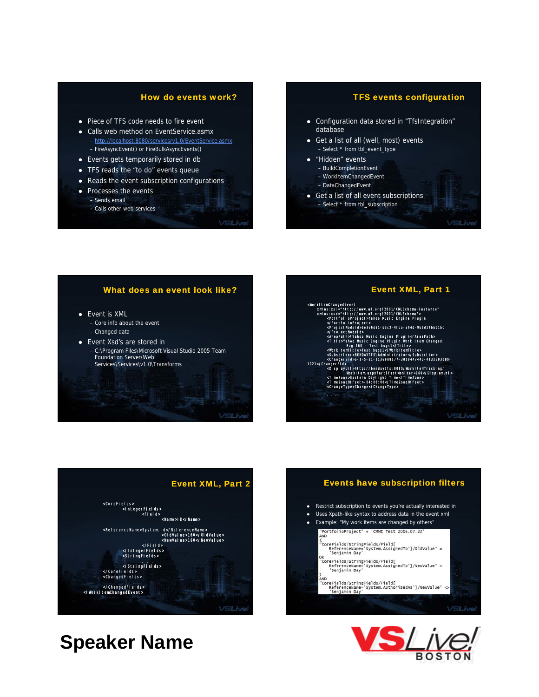## How do events work?

- Piece of TFS code needs to fire event
- Calls web method on EventService.asmx – http://localhost:8080/services/v1.0/EventService.asmx – FireAsyncEvent() or FireBulkAsyncEvents()
- Events gets temporarily stored in db
- TFS reads the "to do" events queue
- Reads the event subscription configurations
- Processes the events – Sends email
	- Calls other web services

VSLive!

## TFS events configuration

- Configuration data stored in "TfsIntegration" database
- Get a list of all (well, most) events – Select \* from tbl\_event\_type
- "Hidden" events
- BuildCompletionEvent
- WorkItemChangedEvent
- DataChangedEvent
- Get a list of all event subscriptions – Select \* from tbl\_subscription

## What does an event look like?

- Event is XML
	- Core info about the event – Changed data
- Event Xsd's are stored in
- C:\Program Files\Microsoft Visual Studio 2005 Team Foundation Server\Web Services\Services\v1.0\Transforms





## Events have subscription filters Restrict subscription to events you're actually interested in • Uses Xpath-like syntax to address data in the event xml Example: "My work items are changed by others"<br>"PortfolioProject" = 'CMMI Test 2006.07.22' (<br>"CoreFields/StringFields/Field[<br>"ReferenceName="System.AssignedTo']/OldValue" =<br>"Benjamin Day' R<br>'CoreFields/StringFields/Field[<br>- ReferenceName='System.AssignedTo']/NewValue" =<br>'Benjamin Day' AND<br>"CoreFields/StringFields/Field[<br>"ReferenceName='System.AuthorizedAs']/NewValue" ⇔<br>"Benjamin Day' VSLive

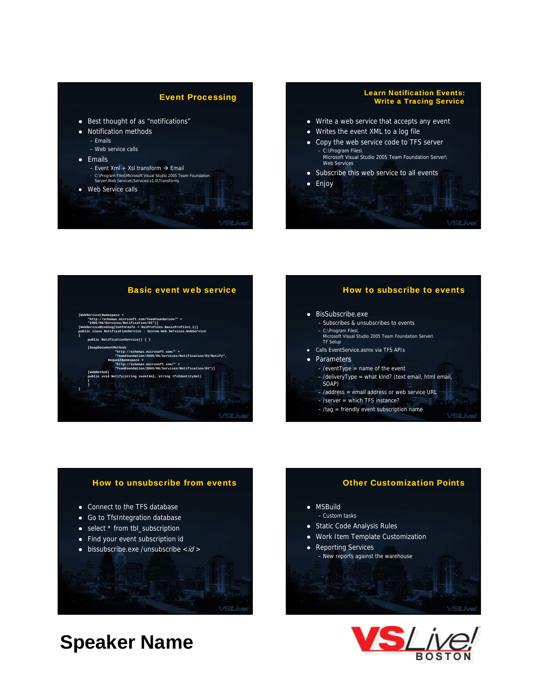## Event Processing

- Best thought of as "notifications"
- Notification methods
	- Emails
	- Web service calls
- $\bullet$  Emails
	- Event Xml + Xsl transform  $\rightarrow$  Email – C:\Program Files\Microsoft Visual Studio 2005 Team Foundation Server\Web Services\Services\v1.0\Transforms
- Web Service calls

VSLive

### Learn Notification Events: Write a Tracing Service

- $\bullet$  Write a web service that accepts any event
- Writes the event XML to a log file
- Copy the web service code to TFS server – C:\Program Files\ Microsoft Visual Studio 2005 Team Foundation Server\<br>Web Services
- Subscribe this web service to all events
- Enjoy

## Basic event web service **[WebService(Namespace = "http://schemas.microsoft.com/TeamFoundation/" + "2005/06/Services/Notification/03")] [WebServiceBinding(ConformsTo = WsiProfiles.BasicProfile1\_1)] public class NotificationService : System.Web.Services.WebService {** pp<br> **p**<br>  $\{ \}$ **[SoapDocumentMethod( "http://schemas.microsoft.com/" + "TeamFoundation/2005/06/Services/Notification/03/Notify", RequestNamespace = "http://schemas.microsoft.com/" + "TeamFoundation/2005/06/Services/Notification/03")] [WebMethod] public void Notify(string eventXml, string tfsIdentityXml) {** VSLive!

## How to subscribe to events

### • BisSubscribe.exe

- Subscribes & unsubscribes to events
- C:\Program Files\ Microsoft Visual Studio 2005 Team Foundation Server\ TF Setup
- $\bullet$  Calls EventService.asmx via TFS APIs
- Parameters
	- /eventType = name of the event – /deliveryType = what kind? (text email, html email,
	- SOAP)
	- /address = email address or web service URL
	- /server = which TFS instance?
	- /tag = friendly event subscription name

## How to unsubscribe from events

- Connect to the TFS database
- Go to TfsIntegration database
- $\bullet$  select  $*$  from tbl\_subscription
- $\bullet$  Find your event subscription id
- $\bullet$  bissubscribe.exe /unsubscribe  $\lt i d$  >

## Other Customization Points

- MSBuild
	- Custom tasks
- Static Code Analysis Rules
- Work Item Template Customization
- Reporting Services – New reports against the warehouse